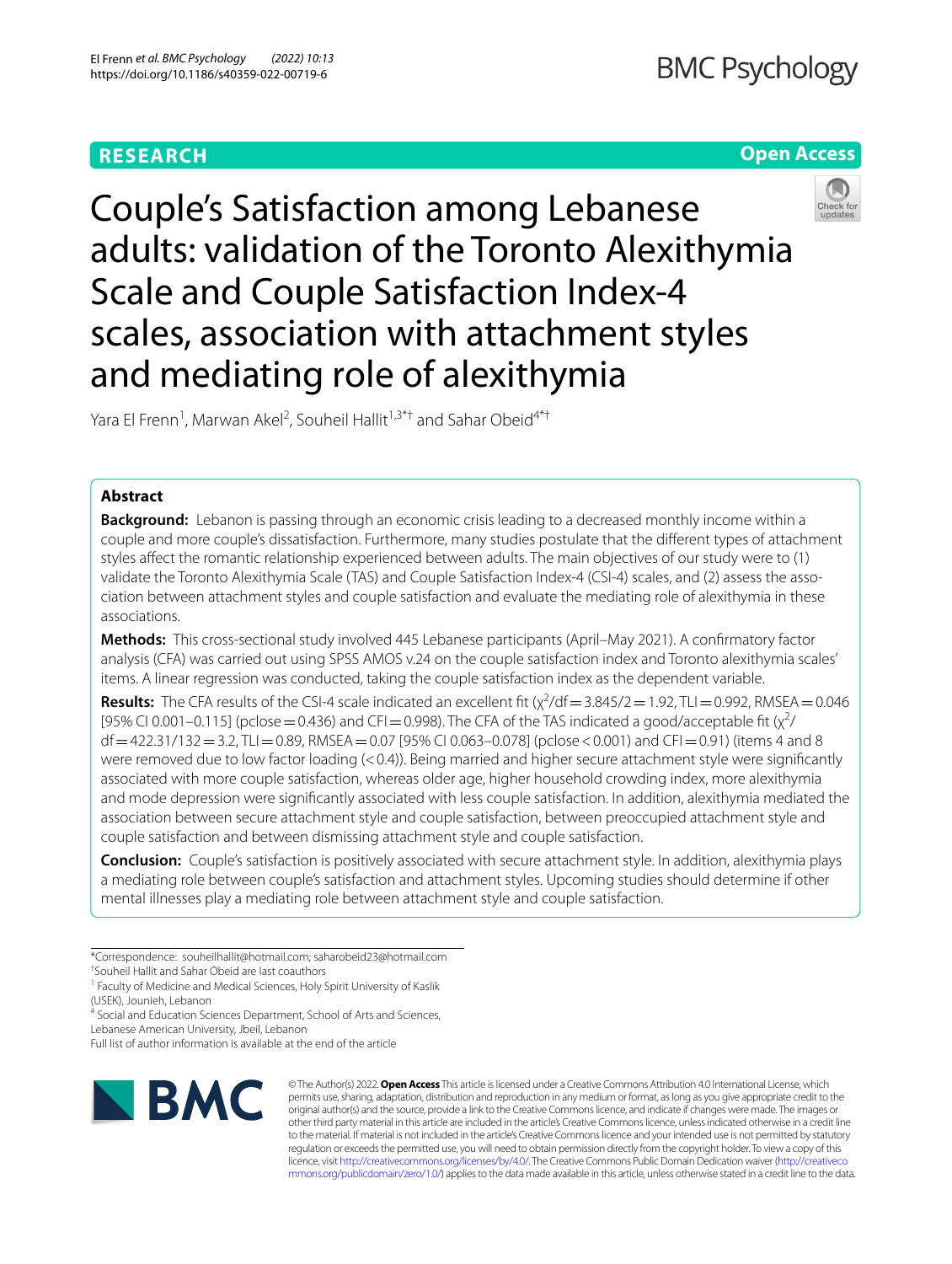# **RESEARCH**

# **Open Access**



Couple's Satisfaction among Lebanese adults: validation of the Toronto Alexithymia Scale and Couple Satisfaction Index-4 scales, association with attachment styles and mediating role of alexithymia

Yara El Frenn<sup>1</sup>, Marwan Akel<sup>2</sup>, Souheil Hallit<sup>1,3\*†</sup> and Sahar Obeid<sup>4\*†</sup>

# **Abstract**

**Background:** Lebanon is passing through an economic crisis leading to a decreased monthly income within a couple and more couple's dissatisfaction. Furthermore, many studies postulate that the diferent types of attachment styles afect the romantic relationship experienced between adults. The main objectives of our study were to (1) validate the Toronto Alexithymia Scale (TAS) and Couple Satisfaction Index-4 (CSI-4) scales, and (2) assess the association between attachment styles and couple satisfaction and evaluate the mediating role of alexithymia in these associations.

**Methods:** This cross-sectional study involved 445 Lebanese participants (April–May 2021). A confrmatory factor analysis (CFA) was carried out using SPSS AMOS v.24 on the couple satisfaction index and Toronto alexithymia scales' items. A linear regression was conducted, taking the couple satisfaction index as the dependent variable.

**Results:** The CFA results of the CSI-4 scale indicated an excellent fit  $(\chi^2/df = 3.845/2 = 1.92, \text{TL} = 0.992, \text{RMSEA} = 0.046$ [95% CI 0.001–0.115] (pclose = 0.436) and CFI = 0.998). The CFA of the TAS indicated a good/acceptable fit ( $\chi^2$ /  $df = 422.31/132 = 3.2$ , TLI $= 0.89$ , RMSEA $= 0.07$  [95% CI 0.063–0.078] (pclose < 0.001) and CFI $= 0.91$ ) (items 4 and 8 were removed due to low factor loading  $(< 0.4$ )). Being married and higher secure attachment style were significantly associated with more couple satisfaction, whereas older age, higher household crowding index, more alexithymia and mode depression were signifcantly associated with less couple satisfaction. In addition, alexithymia mediated the association between secure attachment style and couple satisfaction, between preoccupied attachment style and couple satisfaction and between dismissing attachment style and couple satisfaction.

**Conclusion:** Couple's satisfaction is positively associated with secure attachment style. In addition, alexithymia plays a mediating role between couple's satisfaction and attachment styles. Upcoming studies should determine if other mental illnesses play a mediating role between attachment style and couple satisfaction.

Lebanese American University, Jbeil, Lebanon

Full list of author information is available at the end of the article



© The Author(s) 2022. **Open Access** This article is licensed under a Creative Commons Attribution 4.0 International License, which permits use, sharing, adaptation, distribution and reproduction in any medium or format, as long as you give appropriate credit to the original author(s) and the source, provide a link to the Creative Commons licence, and indicate if changes were made. The images or other third party material in this article are included in the article's Creative Commons licence, unless indicated otherwise in a credit line to the material. If material is not included in the article's Creative Commons licence and your intended use is not permitted by statutory regulation or exceeds the permitted use, you will need to obtain permission directly from the copyright holder. To view a copy of this licence, visit [http://creativecommons.org/licenses/by/4.0/.](http://creativecommons.org/licenses/by/4.0/) The Creative Commons Public Domain Dedication waiver ([http://creativeco](http://creativecommons.org/publicdomain/zero/1.0/) [mmons.org/publicdomain/zero/1.0/](http://creativecommons.org/publicdomain/zero/1.0/)) applies to the data made available in this article, unless otherwise stated in a credit line to the data.

<sup>\*</sup>Correspondence: souheilhallit@hotmail.com; saharobeid23@hotmail.com

<sup>†</sup> Souheil Hallit and Sahar Obeid are last coauthors

<sup>&</sup>lt;sup>1</sup> Faculty of Medicine and Medical Sciences, Holy Spirit University of Kaslik (USEK), Jounieh, Lebanon

<sup>&</sup>lt;sup>4</sup> Social and Education Sciences Department, School of Arts and Sciences,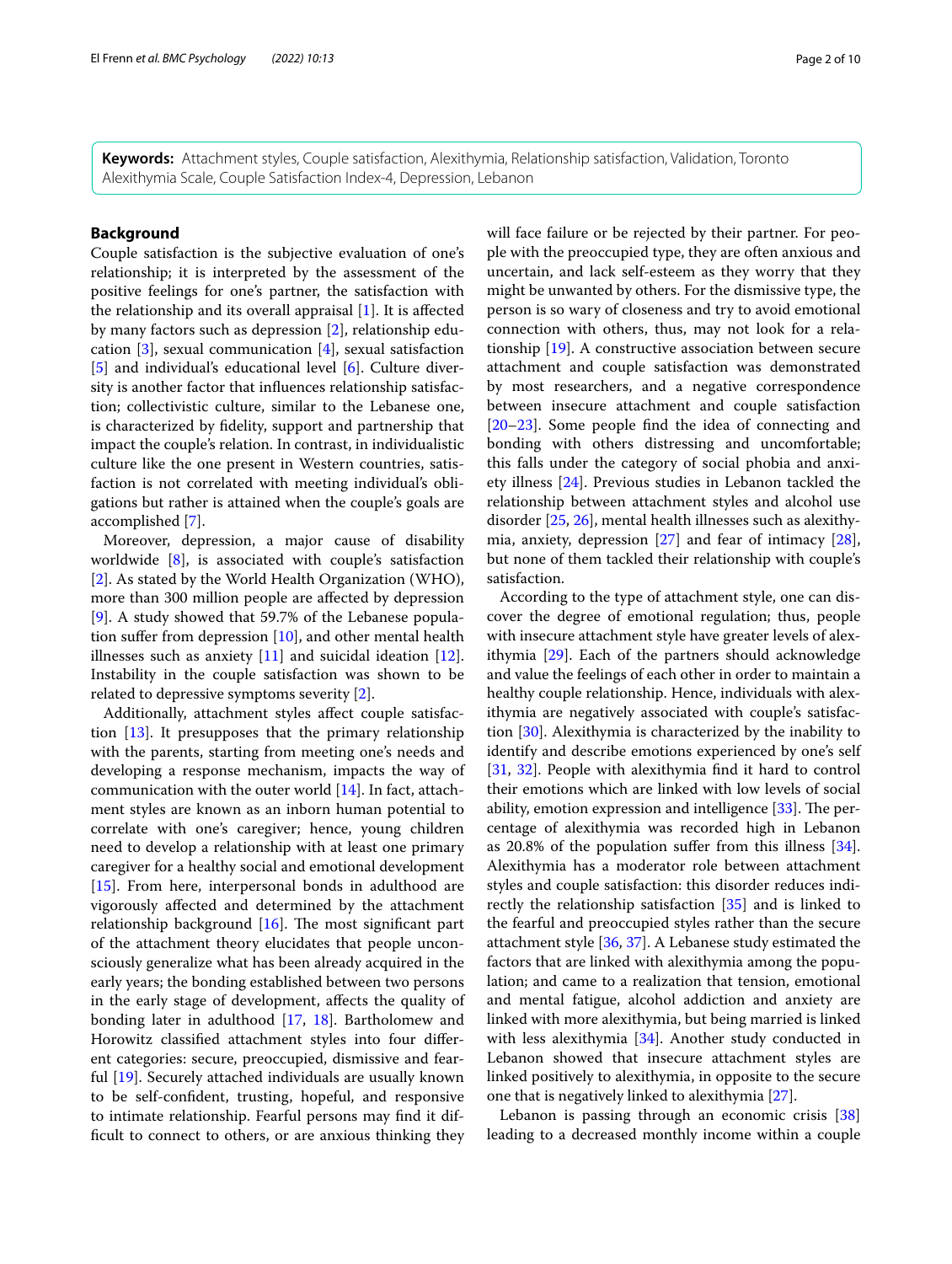**Keywords:** Attachment styles, Couple satisfaction, Alexithymia, Relationship satisfaction, Validation, Toronto Alexithymia Scale, Couple Satisfaction Index-4, Depression, Lebanon

# **Background**

Couple satisfaction is the subjective evaluation of one's relationship; it is interpreted by the assessment of the positive feelings for one's partner, the satisfaction with the relationship and its overall appraisal  $[1]$  $[1]$ . It is affected by many factors such as depression [\[2](#page-8-1)], relationship education [[3](#page-8-2)], sexual communication [[4\]](#page-8-3), sexual satisfaction [[5\]](#page-8-4) and individual's educational level [[6](#page-8-5)]. Culture diversity is another factor that infuences relationship satisfaction; collectivistic culture, similar to the Lebanese one, is characterized by fdelity, support and partnership that impact the couple's relation. In contrast, in individualistic culture like the one present in Western countries, satisfaction is not correlated with meeting individual's obligations but rather is attained when the couple's goals are accomplished [\[7](#page-8-6)].

Moreover, depression, a major cause of disability worldwide [\[8](#page-8-7)], is associated with couple's satisfaction [[2\]](#page-8-1). As stated by the World Health Organization (WHO), more than 300 million people are afected by depression [[9\]](#page-8-8). A study showed that 59.7% of the Lebanese population sufer from depression [[10\]](#page-8-9), and other mental health illnesses such as anxiety [[11\]](#page-8-10) and suicidal ideation [\[12](#page-8-11)]. Instability in the couple satisfaction was shown to be related to depressive symptoms severity [\[2](#page-8-1)].

Additionally, attachment styles afect couple satisfaction [[13\]](#page-8-12). It presupposes that the primary relationship with the parents, starting from meeting one's needs and developing a response mechanism, impacts the way of communication with the outer world [\[14\]](#page-8-13). In fact, attachment styles are known as an inborn human potential to correlate with one's caregiver; hence, young children need to develop a relationship with at least one primary caregiver for a healthy social and emotional development [[15\]](#page-8-14). From here, interpersonal bonds in adulthood are vigorously afected and determined by the attachment relationship background  $[16]$  $[16]$ . The most significant part of the attachment theory elucidates that people unconsciously generalize what has been already acquired in the early years; the bonding established between two persons in the early stage of development, afects the quality of bonding later in adulthood [[17](#page-8-16), [18\]](#page-8-17). Bartholomew and Horowitz classifed attachment styles into four diferent categories: secure, preoccupied, dismissive and fearful [[19\]](#page-8-18). Securely attached individuals are usually known to be self-confdent, trusting, hopeful, and responsive to intimate relationship. Fearful persons may fnd it diffcult to connect to others, or are anxious thinking they will face failure or be rejected by their partner. For people with the preoccupied type, they are often anxious and uncertain, and lack self-esteem as they worry that they might be unwanted by others. For the dismissive type, the person is so wary of closeness and try to avoid emotional connection with others, thus, may not look for a relationship [\[19](#page-8-18)]. A constructive association between secure attachment and couple satisfaction was demonstrated by most researchers, and a negative correspondence between insecure attachment and couple satisfaction [[20–](#page-8-19)[23\]](#page-8-20). Some people fnd the idea of connecting and bonding with others distressing and uncomfortable; this falls under the category of social phobia and anxiety illness [\[24](#page-8-21)]. Previous studies in Lebanon tackled the relationship between attachment styles and alcohol use disorder [\[25](#page-8-22), [26\]](#page-8-23), mental health illnesses such as alexithymia, anxiety, depression [[27\]](#page-8-24) and fear of intimacy [\[28](#page-8-25)], but none of them tackled their relationship with couple's satisfaction.

According to the type of attachment style, one can discover the degree of emotional regulation; thus, people with insecure attachment style have greater levels of alexithymia [\[29\]](#page-8-26). Each of the partners should acknowledge and value the feelings of each other in order to maintain a healthy couple relationship. Hence, individuals with alexithymia are negatively associated with couple's satisfaction [\[30](#page-8-27)]. Alexithymia is characterized by the inability to identify and describe emotions experienced by one's self [[31,](#page-8-28) [32](#page-8-29)]. People with alexithymia fnd it hard to control their emotions which are linked with low levels of social ability, emotion expression and intelligence  $[33]$  $[33]$ . The percentage of alexithymia was recorded high in Lebanon as 20.8% of the population sufer from this illness [\[34](#page-8-31)]. Alexithymia has a moderator role between attachment styles and couple satisfaction: this disorder reduces indirectly the relationship satisfaction [[35](#page-8-32)] and is linked to the fearful and preoccupied styles rather than the secure attachment style [[36](#page-8-33), [37\]](#page-8-34). A Lebanese study estimated the factors that are linked with alexithymia among the population; and came to a realization that tension, emotional and mental fatigue, alcohol addiction and anxiety are linked with more alexithymia, but being married is linked with less alexithymia [[34\]](#page-8-31). Another study conducted in Lebanon showed that insecure attachment styles are linked positively to alexithymia, in opposite to the secure one that is negatively linked to alexithymia [[27\]](#page-8-24).

Lebanon is passing through an economic crisis [[38](#page-8-35)] leading to a decreased monthly income within a couple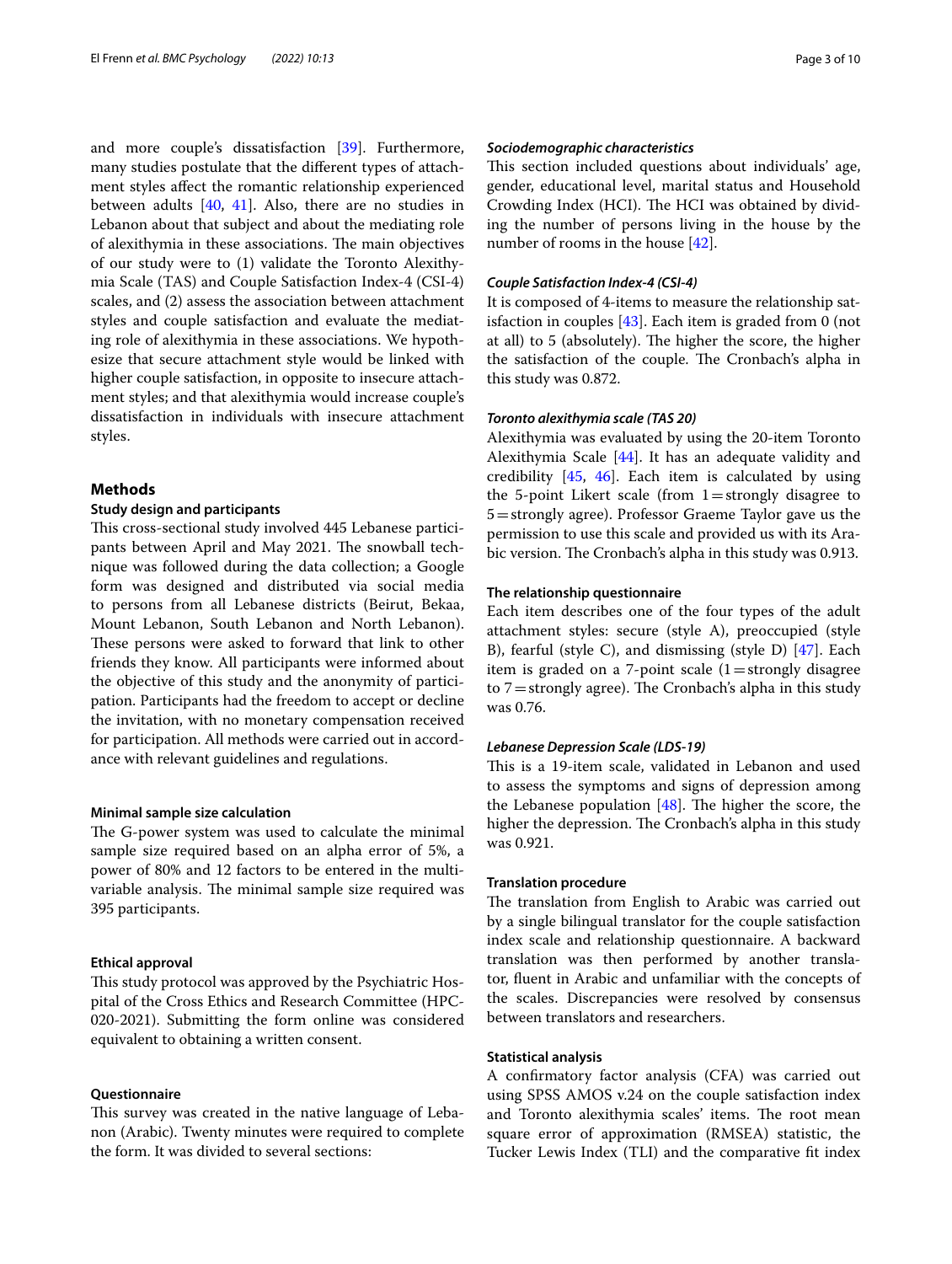and more couple's dissatisfaction [[39\]](#page-8-36). Furthermore, many studies postulate that the diferent types of attachment styles afect the romantic relationship experienced between adults  $[40, 41]$  $[40, 41]$  $[40, 41]$  $[40, 41]$  $[40, 41]$ . Also, there are no studies in Lebanon about that subject and about the mediating role of alexithymia in these associations. The main objectives of our study were to (1) validate the Toronto Alexithymia Scale (TAS) and Couple Satisfaction Index-4 (CSI-4) scales, and (2) assess the association between attachment styles and couple satisfaction and evaluate the mediating role of alexithymia in these associations. We hypothesize that secure attachment style would be linked with higher couple satisfaction, in opposite to insecure attachment styles; and that alexithymia would increase couple's dissatisfaction in individuals with insecure attachment styles.

## **Methods**

#### **Study design and participants**

This cross-sectional study involved 445 Lebanese participants between April and May 2021. The snowball technique was followed during the data collection; a Google form was designed and distributed via social media to persons from all Lebanese districts (Beirut, Bekaa, Mount Lebanon, South Lebanon and North Lebanon). These persons were asked to forward that link to other friends they know. All participants were informed about the objective of this study and the anonymity of participation. Participants had the freedom to accept or decline the invitation, with no monetary compensation received for participation. All methods were carried out in accordance with relevant guidelines and regulations.

#### **Minimal sample size calculation**

The G-power system was used to calculate the minimal sample size required based on an alpha error of 5%, a power of 80% and 12 factors to be entered in the multivariable analysis. The minimal sample size required was 395 participants.

# **Ethical approval**

This study protocol was approved by the Psychiatric Hospital of the Cross Ethics and Research Committee (HPC-020-2021). Submitting the form online was considered equivalent to obtaining a written consent.

## **Questionnaire**

This survey was created in the native language of Lebanon (Arabic). Twenty minutes were required to complete the form. It was divided to several sections:

## *Sociodemographic characteristics*

This section included questions about individuals' age, gender, educational level, marital status and Household Crowding Index (HCI). The HCI was obtained by dividing the number of persons living in the house by the number of rooms in the house [[42\]](#page-9-1).

#### *Couple Satisfaction Index‑4 (CSI‑4)*

It is composed of 4-items to measure the relationship satisfaction in couples [[43\]](#page-9-2). Each item is graded from 0 (not at all) to 5 (absolutely). The higher the score, the higher the satisfaction of the couple. The Cronbach's alpha in this study was 0.872.

#### *Toronto alexithymia scale (TAS 20)*

Alexithymia was evaluated by using the 20-item Toronto Alexithymia Scale [[44\]](#page-9-3). It has an adequate validity and credibility [[45,](#page-9-4) [46](#page-9-5)]. Each item is calculated by using the 5-point Likert scale (from  $1=$  strongly disagree to 5=strongly agree). Professor Graeme Taylor gave us the permission to use this scale and provided us with its Arabic version. The Cronbach's alpha in this study was 0.913.

#### **The relationship questionnaire**

Each item describes one of the four types of the adult attachment styles: secure (style A), preoccupied (style B), fearful (style C), and dismissing (style D) [[47\]](#page-9-6). Each item is graded on a 7-point scale  $(1=$ strongly disagree to  $7$  = strongly agree). The Cronbach's alpha in this study was 0.76.

## *Lebanese Depression Scale (LDS‑19)*

This is a 19-item scale, validated in Lebanon and used to assess the symptoms and signs of depression among the Lebanese population  $[48]$ . The higher the score, the higher the depression. The Cronbach's alpha in this study was 0.921.

#### **Translation procedure**

The translation from English to Arabic was carried out by a single bilingual translator for the couple satisfaction index scale and relationship questionnaire. A backward translation was then performed by another translator, fuent in Arabic and unfamiliar with the concepts of the scales. Discrepancies were resolved by consensus between translators and researchers.

## **Statistical analysis**

A confrmatory factor analysis (CFA) was carried out using SPSS AMOS v.24 on the couple satisfaction index and Toronto alexithymia scales' items. The root mean square error of approximation (RMSEA) statistic, the Tucker Lewis Index (TLI) and the comparative ft index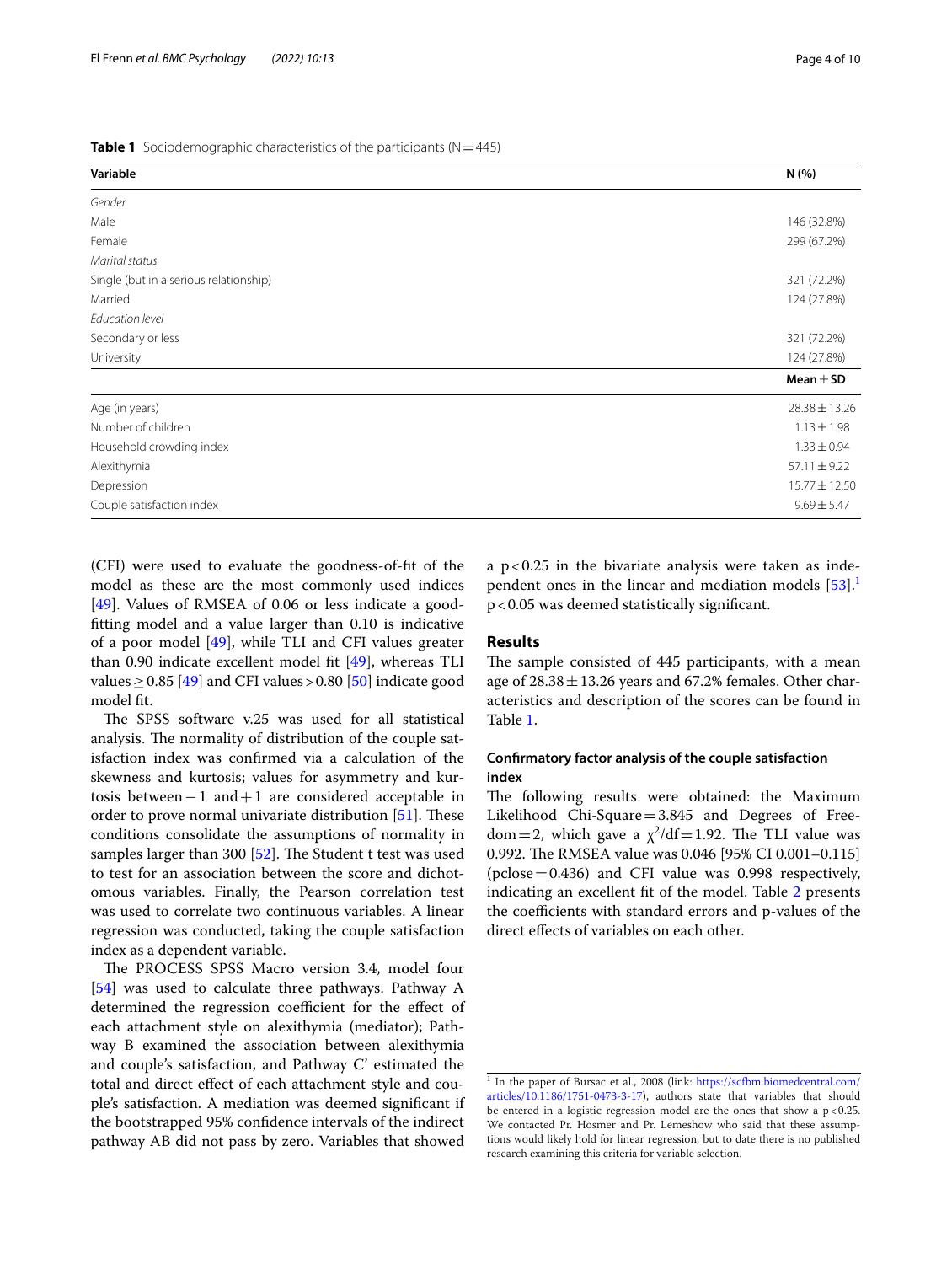<span id="page-3-1"></span>

| <b>Table 1</b> Sociodemographic characteristics of the participants ( $N = 445$ ) |  |  |
|-----------------------------------------------------------------------------------|--|--|
|                                                                                   |  |  |

| Variable                               | N(%)             |
|----------------------------------------|------------------|
| Gender                                 |                  |
| Male                                   | 146 (32.8%)      |
| Female                                 | 299 (67.2%)      |
| Marital status                         |                  |
| Single (but in a serious relationship) | 321 (72.2%)      |
| Married                                | 124 (27.8%)      |
| Education level                        |                  |
| Secondary or less                      | 321 (72.2%)      |
| University                             | 124 (27.8%)      |
|                                        | Mean $\pm$ SD    |
| Age (in years)                         | 28.38 ± 13.26    |
| Number of children                     | $1.13 \pm 1.98$  |
| Household crowding index               | $1.33 \pm 0.94$  |
| Alexithymia                            | $57.11 \pm 9.22$ |
| Depression                             | 15.77 ± 12.50    |
| Couple satisfaction index              | $9.69 \pm 5.47$  |

(CFI) were used to evaluate the goodness-of-ft of the model as these are the most commonly used indices [[49\]](#page-9-8). Values of RMSEA of 0.06 or less indicate a goodftting model and a value larger than 0.10 is indicative of a poor model [[49\]](#page-9-8), while TLI and CFI values greater than 0.90 indicate excellent model ft [\[49](#page-9-8)], whereas TLI values  $> 0.85$  [\[49](#page-9-8)] and CFI values  $> 0.80$  [\[50\]](#page-9-9) indicate good model ft.

The SPSS software v.25 was used for all statistical analysis. The normality of distribution of the couple satisfaction index was confrmed via a calculation of the skewness and kurtosis; values for asymmetry and kurtosis between−1 and+1 are considered acceptable in order to prove normal univariate distribution  $[51]$  $[51]$ . These conditions consolidate the assumptions of normality in samples larger than 300  $[52]$  $[52]$ . The Student t test was used to test for an association between the score and dichotomous variables. Finally, the Pearson correlation test was used to correlate two continuous variables. A linear regression was conducted, taking the couple satisfaction index as a dependent variable.

The PROCESS SPSS Macro version 3.4, model four [[54\]](#page-9-12) was used to calculate three pathways. Pathway A determined the regression coefficient for the effect of each attachment style on alexithymia (mediator); Pathway B examined the association between alexithymia and couple's satisfaction, and Pathway C' estimated the total and direct efect of each attachment style and couple's satisfaction. A mediation was deemed signifcant if the bootstrapped 95% confdence intervals of the indirect pathway AB did not pass by zero. Variables that showed a  $p < 0.25$  in the bivariate analysis were taken as independent ones in the linear and mediation models  $[53]$  $[53]$ <sup>1</sup> p<0.05 was deemed statistically signifcant.

## **Results**

The sample consisted of 445 participants, with a mean age of  $28.38 \pm 13.26$  years and 67.2% females. Other characteristics and description of the scores can be found in Table [1](#page-3-1).

# **Confrmatory factor analysis of the couple satisfaction index**

The following results were obtained: the Maximum Likelihood Chi-Square=3.845 and Degrees of Freedom = 2, which gave a  $\chi^2$ /df = 1.92. The TLI value was 0.992. The RMSEA value was 0.046 [95% CI 0.001-0.115] (pclose=0.436) and CFI value was 0.998 respectively, indicating an excellent ft of the model. Table [2](#page-4-0) presents the coefficients with standard errors and p-values of the direct efects of variables on each other.

<span id="page-3-0"></span><sup>&</sup>lt;sup>1</sup> In the paper of Bursac et al., 2008 (link: [https://scfbm.biomedcentral.com/](https://scfbm.biomedcentral.com/articles/10.1186/1751-0473-3-17) [articles/10.1186/1751-0473-3-17](https://scfbm.biomedcentral.com/articles/10.1186/1751-0473-3-17)), authors state that variables that should be entered in a logistic regression model are the ones that show a  $p < 0.25$ . We contacted Pr. Hosmer and Pr. Lemeshow who said that these assumptions would likely hold for linear regression, but to date there is no published research examining this criteria for variable selection.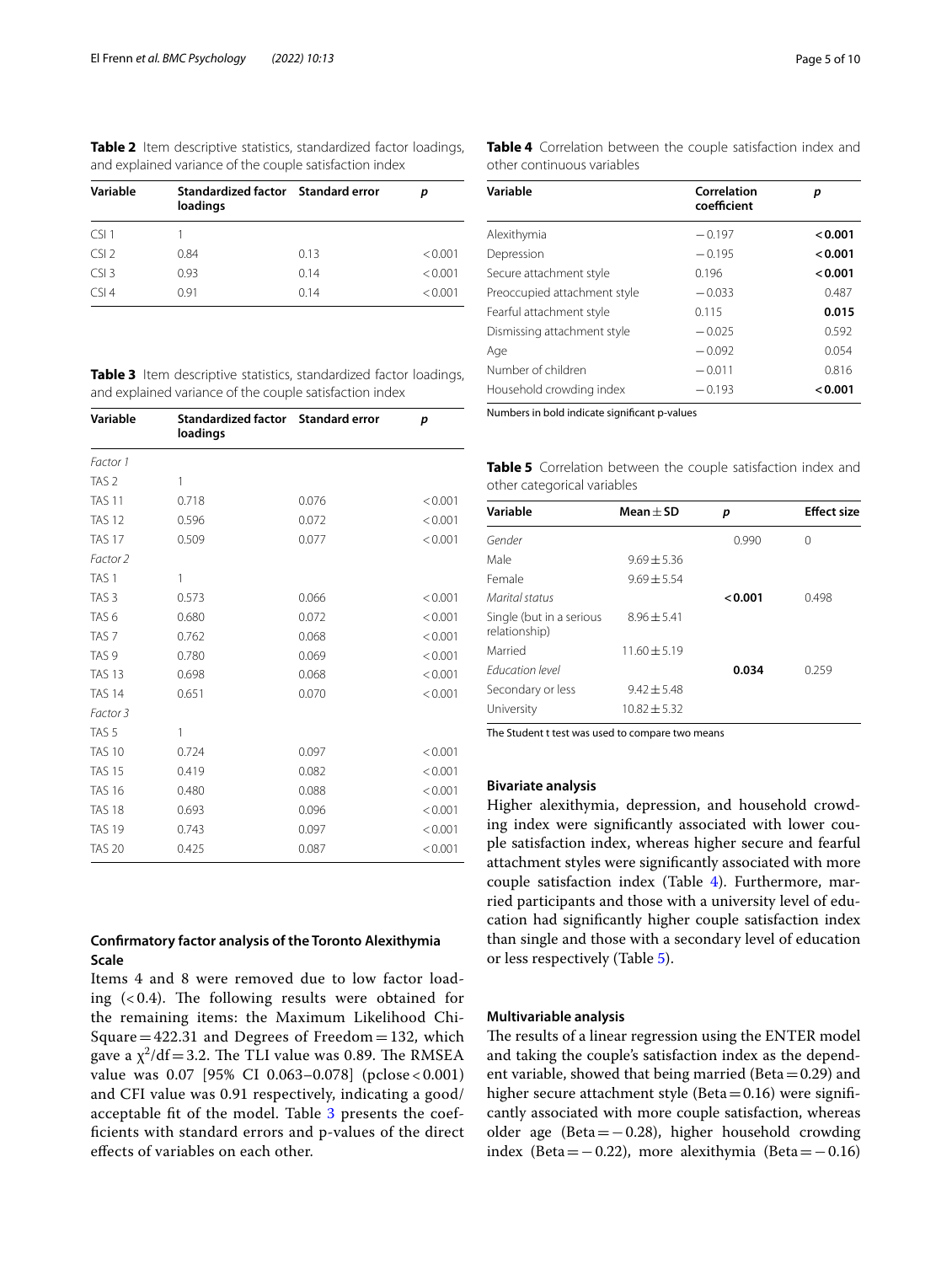<span id="page-4-0"></span>

|  |  | <b>Table 2</b> Item descriptive statistics, standardized factor loadings, |  |
|--|--|---------------------------------------------------------------------------|--|
|  |  | and explained variance of the couple satisfaction index                   |  |

| Variable | Standardized factor Standard error<br>loadings |      | n       |
|----------|------------------------------------------------|------|---------|
| CSI1     |                                                |      |         |
| CSI      | 0.84                                           | 0.13 | < 0.001 |
| CS13     | 0.93                                           | 0.14 | < 0.001 |
| CSI4     | 0.91                                           | 014  | < 0.001 |

<span id="page-4-1"></span>**Table 3** Item descriptive statistics, standardized factor loadings, and explained variance of the couple satisfaction index

| Variable         | Standardized factor Standard error<br>loadings |       | p       |
|------------------|------------------------------------------------|-------|---------|
| Factor 1         |                                                |       |         |
| TAS <sub>2</sub> | 1                                              |       |         |
| <b>TAS 11</b>    | 0.718                                          | 0.076 | < 0.001 |
| <b>TAS 12</b>    | 0.596                                          | 0.072 | < 0.001 |
| <b>TAS 17</b>    | 0.509                                          | 0.077 | < 0.001 |
| Factor 2         |                                                |       |         |
| TAS <sub>1</sub> | 1                                              |       |         |
| TAS <sub>3</sub> | 0.573                                          | 0.066 | < 0.001 |
| TAS <sub>6</sub> | 0.680                                          | 0.072 | < 0.001 |
| TAS <sub>7</sub> | 0.762                                          | 0.068 | < 0.001 |
| TAS <sub>9</sub> | 0.780                                          | 0.069 | < 0.001 |
| <b>TAS 13</b>    | 0.698                                          | 0.068 | < 0.001 |
| <b>TAS 14</b>    | 0.651                                          | 0.070 | < 0.001 |
| Factor 3         |                                                |       |         |
| TAS <sub>5</sub> | 1                                              |       |         |
| <b>TAS 10</b>    | 0.724                                          | 0.097 | < 0.001 |
| <b>TAS 15</b>    | 0.419                                          | 0.082 | < 0.001 |
| <b>TAS 16</b>    | 0.480                                          | 0.088 | < 0.001 |
| <b>TAS 18</b>    | 0.693                                          | 0.096 | < 0.001 |
| <b>TAS 19</b>    | 0.743                                          | 0.097 | < 0.001 |
| <b>TAS 20</b>    | 0.425                                          | 0.087 | < 0.001 |

# **Confrmatory factor analysis of the Toronto Alexithymia Scale**

Items 4 and 8 were removed due to low factor loading  $( $0.4$ ). The following results were obtained for$ the remaining items: the Maximum Likelihood Chi-Square =  $422.31$  and Degrees of Freedom = 132, which gave a  $\chi^2$ /df = 3.2. The TLI value was 0.89. The RMSEA value was 0.07 [95% CI 0.063–0.078] (pclose < 0.001) and CFI value was 0.91 respectively, indicating a good/ acceptable fit of the model. Table [3](#page-4-1) presents the coeffcients with standard errors and p-values of the direct efects of variables on each other.

<span id="page-4-2"></span>**Table 4** Correlation between the couple satisfaction index and other continuous variables

| Variable                     | Correlation<br>coefficient | р       |
|------------------------------|----------------------------|---------|
| Alexithymia                  | $-0.197$                   | < 0.001 |
| Depression                   | $-0.195$                   | < 0.001 |
| Secure attachment style      | 0.196                      | < 0.001 |
| Preoccupied attachment style | $-0.033$                   | 0.487   |
| Fearful attachment style     | 0.115                      | 0.015   |
| Dismissing attachment style  | $-0.025$                   | 0.592   |
| Age                          | $-0.092$                   | 0.054   |
| Number of children           | $-0.011$                   | 0.816   |
| Household crowding index     | $-0.193$                   | < 0.001 |

Numbers in bold indicate signifcant p-values

<span id="page-4-3"></span>

| <b>Table 5</b> Correlation between the couple satisfaction index and |  |  |  |
|----------------------------------------------------------------------|--|--|--|
| other categorical variables                                          |  |  |  |

| Variable                                  | $Mean + SD$      | р       | <b>Effect size</b> |
|-------------------------------------------|------------------|---------|--------------------|
| Gender                                    |                  | 0.990   | 0                  |
| Male                                      | $9.69 \pm 5.36$  |         |                    |
| Female                                    | $9.69 \pm 5.54$  |         |                    |
| Marital status                            |                  | < 0.001 | 0.498              |
| Single (but in a serious<br>relationship) | $8.96 \pm 5.41$  |         |                    |
| Married                                   | $11.60 + 5.19$   |         |                    |
| <b>Fducation level</b>                    |                  | 0.034   | 0.259              |
| Secondary or less                         | $9.42 \pm 5.48$  |         |                    |
| University                                | $10.82 \pm 5.32$ |         |                    |

The Student t test was used to compare two means

# **Bivariate analysis**

Higher alexithymia, depression, and household crowding index were signifcantly associated with lower couple satisfaction index, whereas higher secure and fearful attachment styles were signifcantly associated with more couple satisfaction index (Table [4\)](#page-4-2). Furthermore, married participants and those with a university level of education had signifcantly higher couple satisfaction index than single and those with a secondary level of education or less respectively (Table [5](#page-4-3)).

#### **Multivariable analysis**

The results of a linear regression using the ENTER model and taking the couple's satisfaction index as the dependent variable, showed that being married (Beta $=0.29$ ) and higher secure attachment style (Beta=0.16) were significantly associated with more couple satisfaction, whereas older age (Beta=−0.28), higher household crowding index (Beta=−0.22), more alexithymia (Beta=−0.16)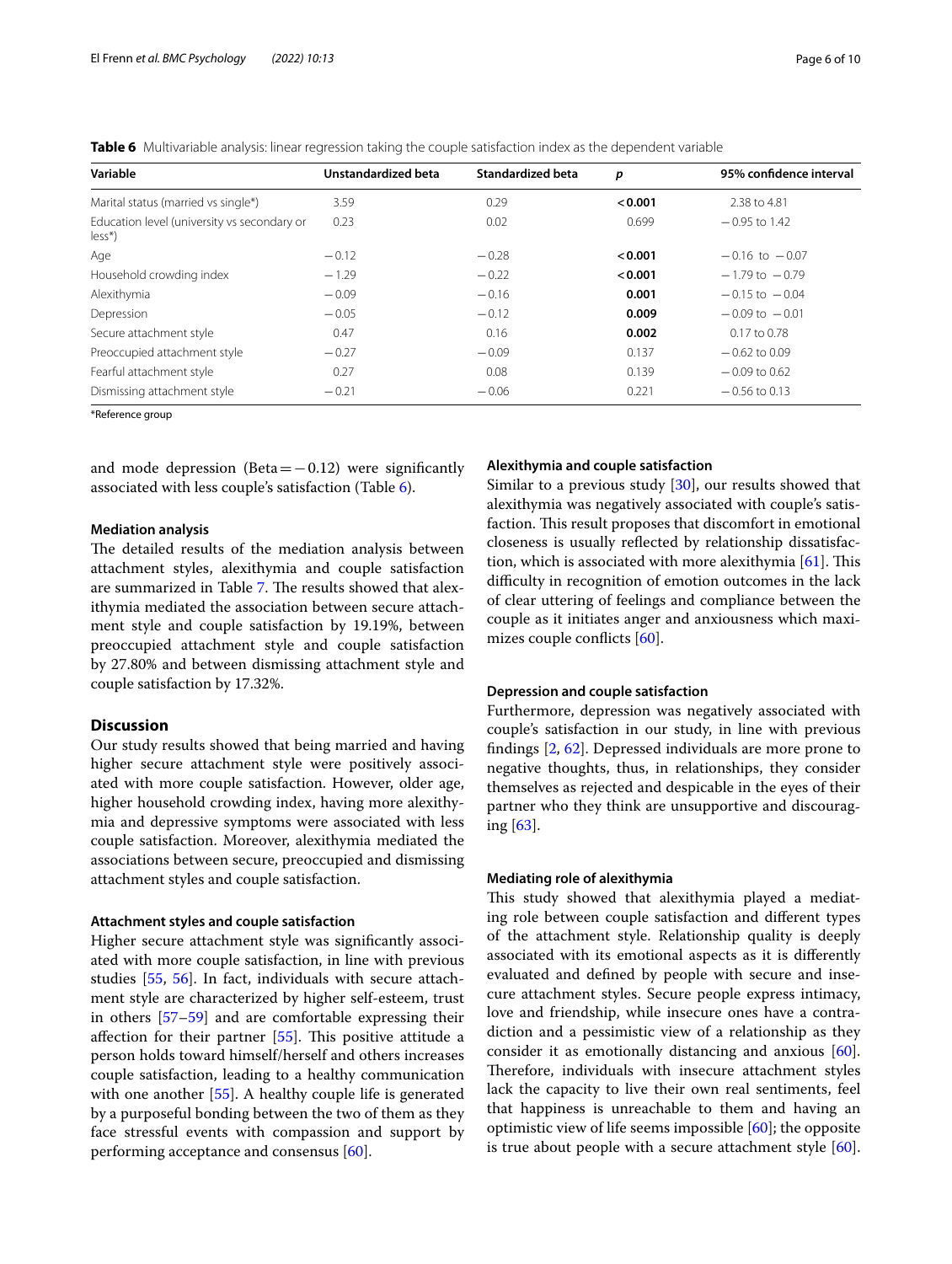<span id="page-5-0"></span>

|  |  |  |  | Table 6 Multivariable analysis: linear regression taking the couple satisfaction index as the dependent variable |  |
|--|--|--|--|------------------------------------------------------------------------------------------------------------------|--|
|--|--|--|--|------------------------------------------------------------------------------------------------------------------|--|

| Variable                                                | Unstandardized beta | Standardized beta | p       | 95% confidence interval |
|---------------------------------------------------------|---------------------|-------------------|---------|-------------------------|
| Marital status (married vs single*)                     | 3.59                | 0.29              | < 0.001 | 2.38 to 4.81            |
| Education level (university vs secondary or<br>$less^*$ | 0.23                | 0.02              | 0.699   | $-0.95$ to 1.42         |
| Age                                                     | $-0.12$             | $-0.28$           | < 0.001 | $-0.16$ to $-0.07$      |
| Household crowding index                                | $-1.29$             | $-0.22$           | < 0.001 | $-1.79$ to $-0.79$      |
| Alexithymia                                             | $-0.09$             | $-0.16$           | 0.001   | $-0.15$ to $-0.04$      |
| Depression                                              | $-0.05$             | $-0.12$           | 0.009   | $-0.09$ to $-0.01$      |
| Secure attachment style                                 | 0.47                | 0.16              | 0.002   | $0.17$ to 0.78          |
| Preoccupied attachment style                            | $-0.27$             | $-0.09$           | 0.137   | $-0.62$ to 0.09         |
| Fearful attachment style                                | 0.27                | 0.08              | 0.139   | $-0.09$ to 0.62         |
| Dismissing attachment style                             | $-0.21$             | $-0.06$           | 0.221   | $-0.56$ to 0.13         |

\*Reference group

and mode depression (Beta= $-0.12$ ) were significantly associated with less couple's satisfaction (Table [6\)](#page-5-0).

## **Mediation analysis**

The detailed results of the mediation analysis between attachment styles, alexithymia and couple satisfaction are summarized in Table [7.](#page-6-0) The results showed that alexithymia mediated the association between secure attachment style and couple satisfaction by 19.19%, between preoccupied attachment style and couple satisfaction by 27.80% and between dismissing attachment style and couple satisfaction by 17.32%.

# **Discussion**

Our study results showed that being married and having higher secure attachment style were positively associated with more couple satisfaction. However, older age, higher household crowding index, having more alexithymia and depressive symptoms were associated with less couple satisfaction. Moreover, alexithymia mediated the associations between secure, preoccupied and dismissing attachment styles and couple satisfaction.

## **Attachment styles and couple satisfaction**

Higher secure attachment style was signifcantly associated with more couple satisfaction, in line with previous studies [\[55](#page-9-14), [56\]](#page-9-15). In fact, individuals with secure attachment style are characterized by higher self-esteem, trust in others [[57–](#page-9-16)[59](#page-9-17)] and are comfortable expressing their affection for their partner  $[55]$  $[55]$  $[55]$ . This positive attitude a person holds toward himself/herself and others increases couple satisfaction, leading to a healthy communication with one another [\[55\]](#page-9-14). A healthy couple life is generated by a purposeful bonding between the two of them as they face stressful events with compassion and support by performing acceptance and consensus [[60](#page-9-18)].

#### **Alexithymia and couple satisfaction**

Similar to a previous study [[30](#page-8-27)], our results showed that alexithymia was negatively associated with couple's satisfaction. This result proposes that discomfort in emotional closeness is usually refected by relationship dissatisfaction, which is associated with more alexithymia  $[61]$  $[61]$  $[61]$ . This difficulty in recognition of emotion outcomes in the lack of clear uttering of feelings and compliance between the couple as it initiates anger and anxiousness which maximizes couple conficts [\[60](#page-9-18)].

#### **Depression and couple satisfaction**

Furthermore, depression was negatively associated with couple's satisfaction in our study, in line with previous fndings [\[2](#page-8-1), [62](#page-9-20)]. Depressed individuals are more prone to negative thoughts, thus, in relationships, they consider themselves as rejected and despicable in the eyes of their partner who they think are unsupportive and discouraging [\[63\]](#page-9-21).

#### **Mediating role of alexithymia**

This study showed that alexithymia played a mediating role between couple satisfaction and diferent types of the attachment style. Relationship quality is deeply associated with its emotional aspects as it is diferently evaluated and defned by people with secure and insecure attachment styles. Secure people express intimacy, love and friendship, while insecure ones have a contradiction and a pessimistic view of a relationship as they consider it as emotionally distancing and anxious [\[60](#page-9-18)]. Therefore, individuals with insecure attachment styles lack the capacity to live their own real sentiments, feel that happiness is unreachable to them and having an optimistic view of life seems impossible [[60\]](#page-9-18); the opposite is true about people with a secure attachment style [\[60](#page-9-18)].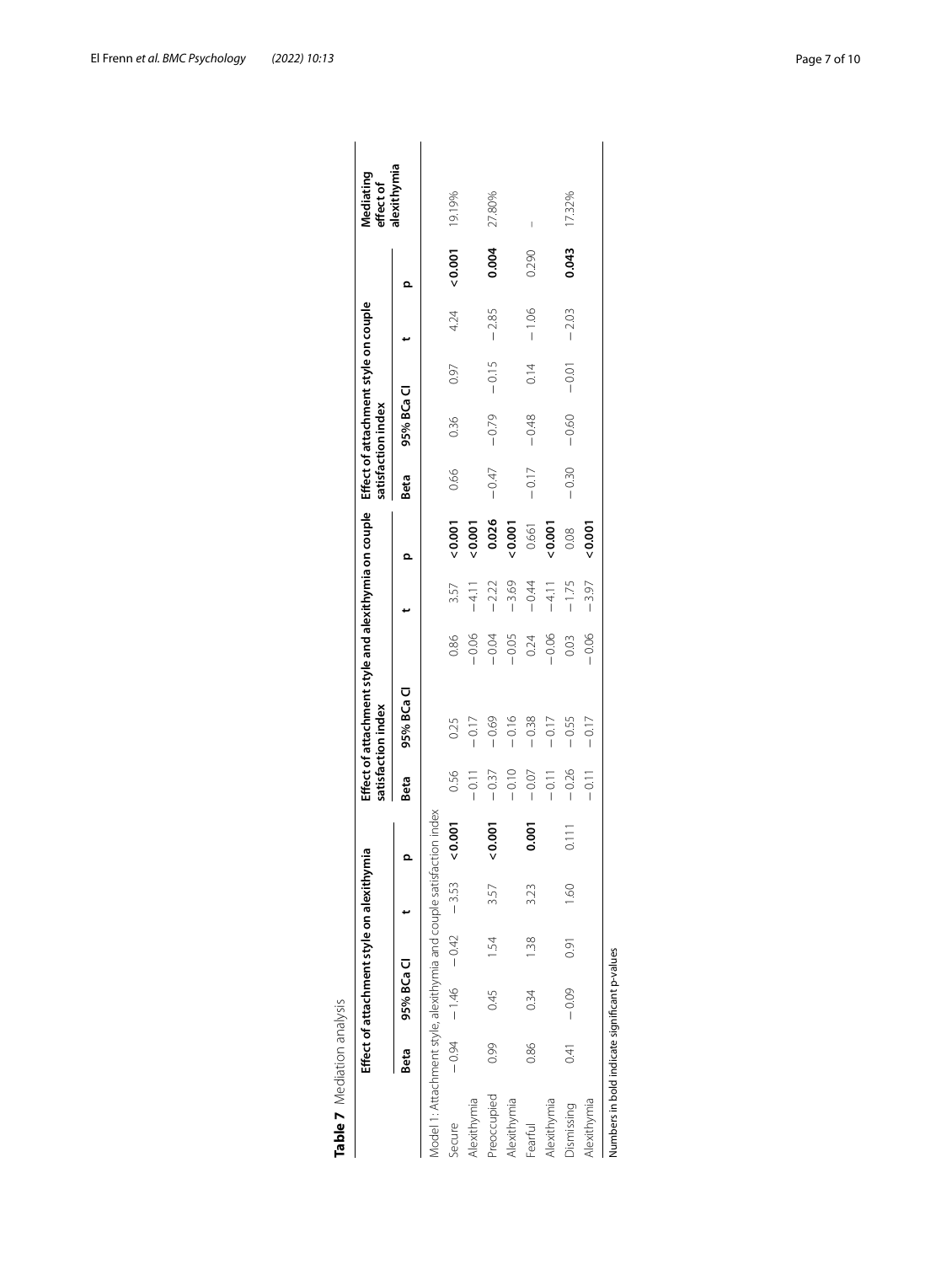|                                                                      |      | Effect of attachment style on alexithymia |      |         |       |         | Effect of attachment style and alexithymia on couple<br>satisfaction index |         |         |        |         | Effect of attachment style on couple<br>satisfaction index |         |         |       | Mediating<br>effect of |
|----------------------------------------------------------------------|------|-------------------------------------------|------|---------|-------|---------|----------------------------------------------------------------------------|---------|---------|--------|---------|------------------------------------------------------------|---------|---------|-------|------------------------|
|                                                                      | Beta | 95% BCa Cl                                |      |         |       | Beta    | 95% BCa Cl                                                                 |         |         | Ω      | Beta    | 95% BCa Cl                                                 |         |         | Ω     | alexithymia            |
| Model 1: Attachment style, alexithymia and couple satisfaction index |      |                                           |      |         |       |         |                                                                            |         |         |        |         |                                                            |         |         |       |                        |
| Secure                                                               |      | $-0.94$ $-1.46$ $-0.42$ $-3.53$           |      |         | 0.001 | 0.56    | 0.25                                                                       | 0.86    | 3.57    | 0.001  | 0.66    | 0.36                                                       | 0.97    | 4.24    | 0.001 | 19.19%                 |
| Alexithymia                                                          |      |                                           |      |         |       | $-0.11$ | $-0.17$                                                                    | $-0.06$ | $-4.11$ | 0.001  |         |                                                            |         |         |       |                        |
| Preoccupied                                                          | 0.99 | 0.45                                      | 1.54 | 3.57    | 0.001 | $-0.37$ | $-0.69$                                                                    | $-0.04$ | $-2.22$ | 0.026  | $-0.47$ | $-0.79$                                                    | $-0.15$ | $-2.85$ | 0.004 | 27.80%                 |
| Alexithymia                                                          |      |                                           |      |         |       | $-0.10$ | $-0.16$                                                                    | $-0.05$ | $-3.69$ | 0.001  |         |                                                            |         |         |       |                        |
| Fearful                                                              | 0.86 | 0.34                                      | 1.38 | 3.23    | 0.001 | $-0.07$ | $-0.38$                                                                    | 0.24    | $-0.44$ | 0.661  | $-0.17$ | $-0.48$                                                    | 0.14    | $-1.06$ | 0.290 |                        |
| Alexithymia                                                          |      |                                           |      |         |       | $-0.11$ | $-0.17$                                                                    | $-0.06$ | $-4.11$ | 0.001  |         |                                                            |         |         |       |                        |
| Dismissing                                                           | 0.41 | $-0.09$                                   | 0.91 | $-1.60$ | 0.111 | $-0.26$ | $-0.55$                                                                    | 0.03    | $-1.75$ | 0.08   | $-0.30$ | $-0.60$                                                    | $-0.01$ | $-2.03$ | 0.043 | 17.32%                 |
| Alexithymia                                                          |      |                                           |      |         |       | $-0.11$ | $-0.17$                                                                    | $-0.06$ | $-3.97$ | 20.001 |         |                                                            |         |         |       |                        |

<span id="page-6-0"></span>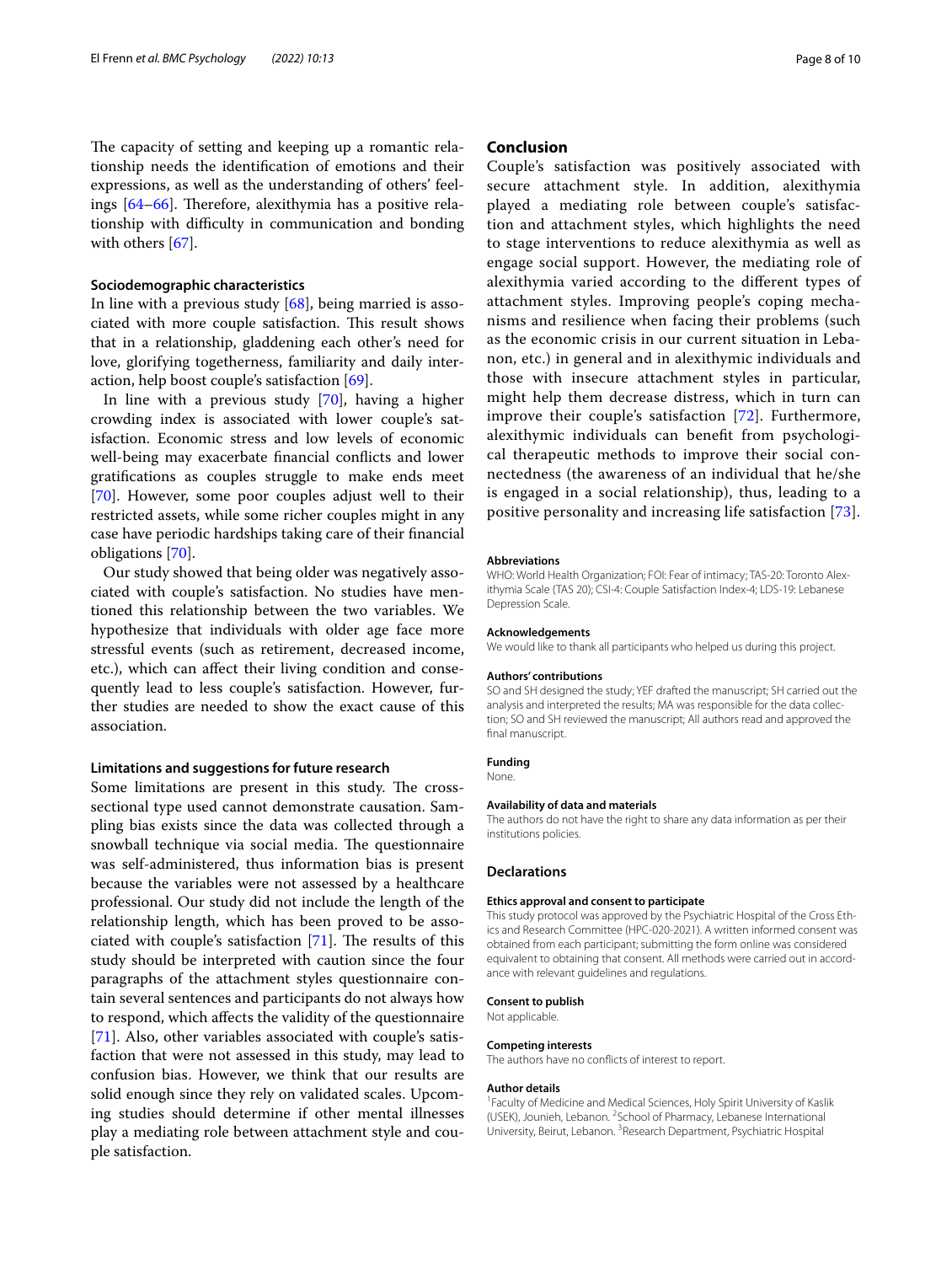The capacity of setting and keeping up a romantic relationship needs the identifcation of emotions and their expressions, as well as the understanding of others' feelings  $[64–66]$  $[64–66]$ . Therefore, alexithymia has a positive relationship with difficulty in communication and bonding with others [\[67](#page-9-24)].

#### **Sociodemographic characteristics**

In line with a previous study [[68\]](#page-9-25), being married is associated with more couple satisfaction. This result shows that in a relationship, gladdening each other's need for love, glorifying togetherness, familiarity and daily interaction, help boost couple's satisfaction [\[69](#page-9-26)].

In line with a previous study [\[70\]](#page-9-27), having a higher crowding index is associated with lower couple's satisfaction. Economic stress and low levels of economic well-being may exacerbate fnancial conficts and lower gratifcations as couples struggle to make ends meet [[70\]](#page-9-27). However, some poor couples adjust well to their restricted assets, while some richer couples might in any case have periodic hardships taking care of their fnancial obligations [\[70\]](#page-9-27).

Our study showed that being older was negatively associated with couple's satisfaction. No studies have mentioned this relationship between the two variables. We hypothesize that individuals with older age face more stressful events (such as retirement, decreased income, etc.), which can afect their living condition and consequently lead to less couple's satisfaction. However, further studies are needed to show the exact cause of this association.

## **Limitations and suggestions for future research**

Some limitations are present in this study. The crosssectional type used cannot demonstrate causation. Sampling bias exists since the data was collected through a snowball technique via social media. The questionnaire was self-administered, thus information bias is present because the variables were not assessed by a healthcare professional. Our study did not include the length of the relationship length, which has been proved to be associated with couple's satisfaction  $[71]$  $[71]$  $[71]$ . The results of this study should be interpreted with caution since the four paragraphs of the attachment styles questionnaire contain several sentences and participants do not always how to respond, which afects the validity of the questionnaire [[71\]](#page-9-28). Also, other variables associated with couple's satisfaction that were not assessed in this study, may lead to confusion bias. However, we think that our results are solid enough since they rely on validated scales. Upcoming studies should determine if other mental illnesses play a mediating role between attachment style and couple satisfaction.

## **Conclusion**

Couple's satisfaction was positively associated with secure attachment style. In addition, alexithymia played a mediating role between couple's satisfaction and attachment styles, which highlights the need to stage interventions to reduce alexithymia as well as engage social support. However, the mediating role of alexithymia varied according to the diferent types of attachment styles. Improving people's coping mechanisms and resilience when facing their problems (such as the economic crisis in our current situation in Lebanon, etc.) in general and in alexithymic individuals and those with insecure attachment styles in particular, might help them decrease distress, which in turn can improve their couple's satisfaction [[72](#page-9-29)]. Furthermore, alexithymic individuals can beneft from psychological therapeutic methods to improve their social connectedness (the awareness of an individual that he/she is engaged in a social relationship), thus, leading to a positive personality and increasing life satisfaction [[73\]](#page-9-30).

#### **Abbreviations**

WHO: World Health Organization; FOI: Fear of intimacy; TAS-20: Toronto Alexithymia Scale (TAS 20); CSI-4: Couple Satisfaction Index-4; LDS-19: Lebanese Depression Scale.

#### **Acknowledgements**

We would like to thank all participants who helped us during this project.

#### **Authors' contributions**

SO and SH designed the study; YEF drafted the manuscript; SH carried out the analysis and interpreted the results; MA was responsible for the data collection; SO and SH reviewed the manuscript; All authors read and approved the final manuscript.

#### **Funding**

None.

#### **Availability of data and materials**

The authors do not have the right to share any data information as per their institutions policies.

#### **Declarations**

#### **Ethics approval and consent to participate**

This study protocol was approved by the Psychiatric Hospital of the Cross Ethics and Research Committee (HPC-020-2021). A written informed consent was obtained from each participant; submitting the form online was considered equivalent to obtaining that consent. All methods were carried out in accordance with relevant guidelines and regulations.

#### **Consent to publish**

Not applicable.

#### **Competing interests**

The authors have no conficts of interest to report.

#### **Author details**

<sup>1</sup> Faculty of Medicine and Medical Sciences, Holy Spirit University of Kaslik (USEK), Jounieh, Lebanon. <sup>2</sup> School of Pharmacy, Lebanese International University, Beirut, Lebanon. <sup>3</sup> Research Department, Psychiatric Hospital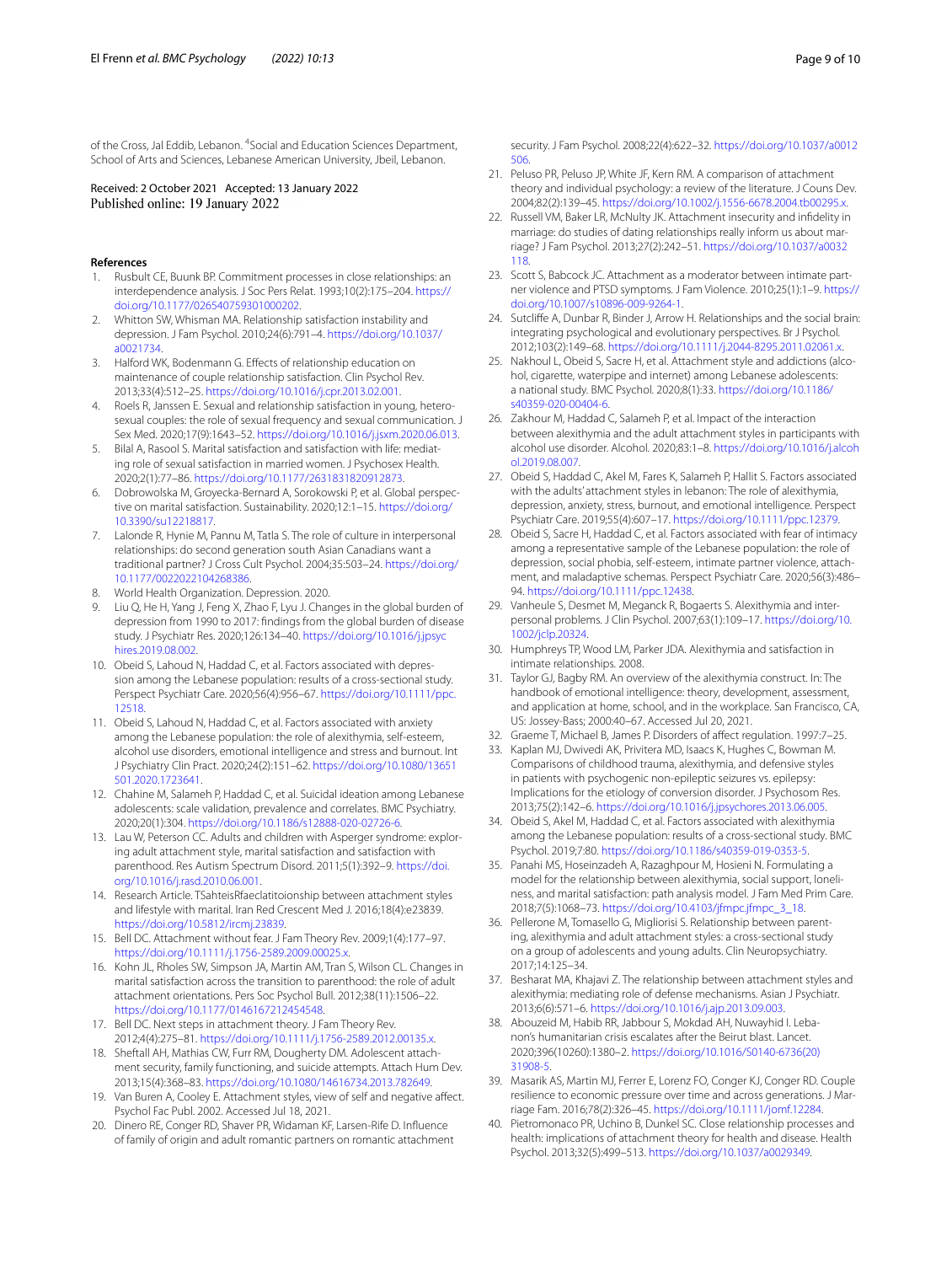of the Cross, Jal Eddib, Lebanon. <sup>4</sup> Social and Education Sciences Department, School of Arts and Sciences, Lebanese American University, Jbeil, Lebanon.

Received: 2 October 2021 Accepted: 13 January 2022

#### **References**

- <span id="page-8-0"></span>1. Rusbult CE, Buunk BP. Commitment processes in close relationships: an interdependence analysis. J Soc Pers Relat. 1993;10(2):175–204. [https://](https://doi.org/10.1177/026540759301000202) [doi.org/10.1177/026540759301000202](https://doi.org/10.1177/026540759301000202).
- <span id="page-8-1"></span>2. Whitton SW, Whisman MA. Relationship satisfaction instability and depression. J Fam Psychol. 2010;24(6):791–4. [https://doi.org/10.1037/](https://doi.org/10.1037/a0021734) [a0021734.](https://doi.org/10.1037/a0021734)
- <span id="page-8-2"></span>3. Halford WK, Bodenmann G. Efects of relationship education on maintenance of couple relationship satisfaction. Clin Psychol Rev. 2013;33(4):512–25. [https://doi.org/10.1016/j.cpr.2013.02.001.](https://doi.org/10.1016/j.cpr.2013.02.001)
- <span id="page-8-3"></span>4. Roels R, Janssen E. Sexual and relationship satisfaction in young, heterosexual couples: the role of sexual frequency and sexual communication. J Sex Med. 2020;17(9):1643–52.<https://doi.org/10.1016/j.jsxm.2020.06.013>.
- <span id="page-8-4"></span>5. Bilal A, Rasool S. Marital satisfaction and satisfaction with life: mediating role of sexual satisfaction in married women. J Psychosex Health. 2020;2(1):77–86. [https://doi.org/10.1177/2631831820912873.](https://doi.org/10.1177/2631831820912873)
- <span id="page-8-5"></span>6. Dobrowolska M, Groyecka-Bernard A, Sorokowski P, et al. Global perspective on marital satisfaction. Sustainability. 2020;12:1–15. [https://doi.org/](https://doi.org/10.3390/su12218817) [10.3390/su12218817.](https://doi.org/10.3390/su12218817)
- <span id="page-8-6"></span>7. Lalonde R, Hynie M, Pannu M, Tatla S. The role of culture in interpersonal relationships: do second generation south Asian Canadians want a traditional partner? J Cross Cult Psychol. 2004;35:503–24. [https://doi.org/](https://doi.org/10.1177/0022022104268386) [10.1177/0022022104268386](https://doi.org/10.1177/0022022104268386).
- <span id="page-8-7"></span>8. World Health Organization. Depression. 2020.
- <span id="page-8-8"></span>9. Liu Q, He H, Yang J, Feng X, Zhao F, Lyu J. Changes in the global burden of depression from 1990 to 2017: fndings from the global burden of disease study. J Psychiatr Res. 2020;126:134–40. [https://doi.org/10.1016/j.jpsyc](https://doi.org/10.1016/j.jpsychires.2019.08.002) [hires.2019.08.002.](https://doi.org/10.1016/j.jpsychires.2019.08.002)
- <span id="page-8-9"></span>10. Obeid S, Lahoud N, Haddad C, et al. Factors associated with depression among the Lebanese population: results of a cross-sectional study. Perspect Psychiatr Care. 2020;56(4):956–67. [https://doi.org/10.1111/ppc.](https://doi.org/10.1111/ppc.12518) [12518.](https://doi.org/10.1111/ppc.12518)
- <span id="page-8-10"></span>11. Obeid S, Lahoud N, Haddad C, et al. Factors associated with anxiety among the Lebanese population: the role of alexithymia, self-esteem, alcohol use disorders, emotional intelligence and stress and burnout. Int J Psychiatry Clin Pract. 2020;24(2):151–62. [https://doi.org/10.1080/13651](https://doi.org/10.1080/13651501.2020.1723641) [501.2020.1723641.](https://doi.org/10.1080/13651501.2020.1723641)
- <span id="page-8-11"></span>12. Chahine M, Salameh P, Haddad C, et al. Suicidal ideation among Lebanese adolescents: scale validation, prevalence and correlates. BMC Psychiatry. 2020;20(1):304. <https://doi.org/10.1186/s12888-020-02726-6>.
- <span id="page-8-12"></span>13. Lau W, Peterson CC. Adults and children with Asperger syndrome: exploring adult attachment style, marital satisfaction and satisfaction with parenthood. Res Autism Spectrum Disord. 2011;5(1):392–9. [https://doi.](https://doi.org/10.1016/j.rasd.2010.06.001) [org/10.1016/j.rasd.2010.06.001.](https://doi.org/10.1016/j.rasd.2010.06.001)
- <span id="page-8-13"></span>14. Research Article. TSahteisRfaeclatitoionship between attachment styles and lifestyle with marital. Iran Red Crescent Med J. 2016;18(4):e23839. [https://doi.org/10.5812/ircmj.23839.](https://doi.org/10.5812/ircmj.23839)
- <span id="page-8-14"></span>15. Bell DC. Attachment without fear. J Fam Theory Rev. 2009;1(4):177–97. [https://doi.org/10.1111/j.1756-2589.2009.00025.x.](https://doi.org/10.1111/j.1756-2589.2009.00025.x)
- <span id="page-8-15"></span>16. Kohn JL, Rholes SW, Simpson JA, Martin AM, Tran S, Wilson CL. Changes in marital satisfaction across the transition to parenthood: the role of adult attachment orientations. Pers Soc Psychol Bull. 2012;38(11):1506–22. <https://doi.org/10.1177/0146167212454548>.
- <span id="page-8-16"></span>17. Bell DC. Next steps in attachment theory. J Fam Theory Rev. 2012;4(4):275–81.<https://doi.org/10.1111/j.1756-2589.2012.00135.x>.
- <span id="page-8-17"></span>18. Sheftall AH, Mathias CW, Furr RM, Dougherty DM. Adolescent attachment security, family functioning, and suicide attempts. Attach Hum Dev. 2013;15(4):368–83. <https://doi.org/10.1080/14616734.2013.782649>.
- <span id="page-8-18"></span>19. Van Buren A, Cooley E. Attachment styles, view of self and negative afect. Psychol Fac Publ. 2002. Accessed Jul 18, 2021.
- <span id="page-8-19"></span>20. Dinero RE, Conger RD, Shaver PR, Widaman KF, Larsen-Rife D. Infuence of family of origin and adult romantic partners on romantic attachment

security. J Fam Psychol. 2008;22(4):622–32. [https://doi.org/10.1037/a0012](https://doi.org/10.1037/a0012506) [506.](https://doi.org/10.1037/a0012506)

- 21. Peluso PR, Peluso JP, White JF, Kern RM. A comparison of attachment theory and individual psychology: a review of the literature. J Couns Dev. 2004;82(2):139–45. [https://doi.org/10.1002/j.1556-6678.2004.tb00295.x.](https://doi.org/10.1002/j.1556-6678.2004.tb00295.x)
- 22. Russell VM, Baker LR, McNulty JK. Attachment insecurity and infdelity in marriage: do studies of dating relationships really inform us about marriage? J Fam Psychol. 2013;27(2):242–51. [https://doi.org/10.1037/a0032](https://doi.org/10.1037/a0032118) [118.](https://doi.org/10.1037/a0032118)
- <span id="page-8-20"></span>23. Scott S, Babcock JC. Attachment as a moderator between intimate partner violence and PTSD symptoms. J Fam Violence. 2010;25(1):1–9. [https://](https://doi.org/10.1007/s10896-009-9264-1) [doi.org/10.1007/s10896-009-9264-1](https://doi.org/10.1007/s10896-009-9264-1).
- <span id="page-8-21"></span>24. Sutclife A, Dunbar R, Binder J, Arrow H. Relationships and the social brain: integrating psychological and evolutionary perspectives. Br J Psychol. 2012;103(2):149–68. [https://doi.org/10.1111/j.2044-8295.2011.02061.x.](https://doi.org/10.1111/j.2044-8295.2011.02061.x)
- <span id="page-8-22"></span>25. Nakhoul L, Obeid S, Sacre H, et al. Attachment style and addictions (alcohol, cigarette, waterpipe and internet) among Lebanese adolescents: a national study. BMC Psychol. 2020;8(1):33. [https://doi.org/10.1186/](https://doi.org/10.1186/s40359-020-00404-6) [s40359-020-00404-6](https://doi.org/10.1186/s40359-020-00404-6).
- <span id="page-8-23"></span>26. Zakhour M, Haddad C, Salameh P, et al. Impact of the interaction between alexithymia and the adult attachment styles in participants with alcohol use disorder. Alcohol. 2020;83:1–8. [https://doi.org/10.1016/j.alcoh](https://doi.org/10.1016/j.alcohol.2019.08.007) [ol.2019.08.007](https://doi.org/10.1016/j.alcohol.2019.08.007).
- <span id="page-8-24"></span>27. Obeid S, Haddad C, Akel M, Fares K, Salameh P, Hallit S. Factors associated with the adults' attachment styles in lebanon: The role of alexithymia, depression, anxiety, stress, burnout, and emotional intelligence. Perspect Psychiatr Care. 2019;55(4):607–17.<https://doi.org/10.1111/ppc.12379>.
- <span id="page-8-25"></span>28. Obeid S, Sacre H, Haddad C, et al. Factors associated with fear of intimacy among a representative sample of the Lebanese population: the role of depression, social phobia, self-esteem, intimate partner violence, attachment, and maladaptive schemas. Perspect Psychiatr Care. 2020;56(3):486– 94. [https://doi.org/10.1111/ppc.12438.](https://doi.org/10.1111/ppc.12438)
- <span id="page-8-26"></span>29. Vanheule S, Desmet M, Meganck R, Bogaerts S. Alexithymia and interpersonal problems. J Clin Psychol. 2007;63(1):109–17. [https://doi.org/10.](https://doi.org/10.1002/jclp.20324) [1002/jclp.20324](https://doi.org/10.1002/jclp.20324).
- <span id="page-8-27"></span>30. Humphreys TP, Wood LM, Parker JDA. Alexithymia and satisfaction in intimate relationships. 2008.
- <span id="page-8-28"></span>31. Taylor GJ, Bagby RM. An overview of the alexithymia construct. In: The handbook of emotional intelligence: theory, development, assessment, and application at home, school, and in the workplace. San Francisco, CA, US: Jossey-Bass; 2000:40–67. Accessed Jul 20, 2021.
- <span id="page-8-29"></span>32. Graeme T, Michael B, James P. Disorders of afect regulation. 1997:7–25.
- <span id="page-8-30"></span>33. Kaplan MJ, Dwivedi AK, Privitera MD, Isaacs K, Hughes C, Bowman M. Comparisons of childhood trauma, alexithymia, and defensive styles in patients with psychogenic non-epileptic seizures vs. epilepsy: Implications for the etiology of conversion disorder. J Psychosom Res. 2013;75(2):142–6.<https://doi.org/10.1016/j.jpsychores.2013.06.005>.
- <span id="page-8-31"></span>34. Obeid S, Akel M, Haddad C, et al. Factors associated with alexithymia among the Lebanese population: results of a cross-sectional study. BMC Psychol. 2019;7:80.<https://doi.org/10.1186/s40359-019-0353-5>.
- <span id="page-8-32"></span>35. Panahi MS, Hoseinzadeh A, Razaghpour M, Hosieni N. Formulating a model for the relationship between alexithymia, social support, loneliness, and marital satisfaction: path analysis model. J Fam Med Prim Care. 2018;7(5):1068–73. [https://doi.org/10.4103/jfmpc.jfmpc\\_3\\_18.](https://doi.org/10.4103/jfmpc.jfmpc_3_18)
- <span id="page-8-33"></span>36. Pellerone M, Tomasello G, Migliorisi S. Relationship between parenting, alexithymia and adult attachment styles: a cross-sectional study on a group of adolescents and young adults. Clin Neuropsychiatry. 2017;14:125–34.
- <span id="page-8-34"></span>37. Besharat MA, Khajavi Z. The relationship between attachment styles and alexithymia: mediating role of defense mechanisms. Asian J Psychiatr. 2013;6(6):571–6. <https://doi.org/10.1016/j.ajp.2013.09.003>.
- <span id="page-8-35"></span>38. Abouzeid M, Habib RR, Jabbour S, Mokdad AH, Nuwayhid I. Lebanon's humanitarian crisis escalates after the Beirut blast. Lancet. 2020;396(10260):1380–2. [https://doi.org/10.1016/S0140-6736\(20\)](https://doi.org/10.1016/S0140-6736(20)31908-5) [31908-5.](https://doi.org/10.1016/S0140-6736(20)31908-5)
- <span id="page-8-36"></span>39. Masarik AS, Martin MJ, Ferrer E, Lorenz FO, Conger KJ, Conger RD. Couple resilience to economic pressure over time and across generations. J Marriage Fam. 2016;78(2):326–45.<https://doi.org/10.1111/jomf.12284>.
- <span id="page-8-37"></span>40. Pietromonaco PR, Uchino B, Dunkel SC. Close relationship processes and health: implications of attachment theory for health and disease. Health Psychol. 2013;32(5):499–513. [https://doi.org/10.1037/a0029349.](https://doi.org/10.1037/a0029349)